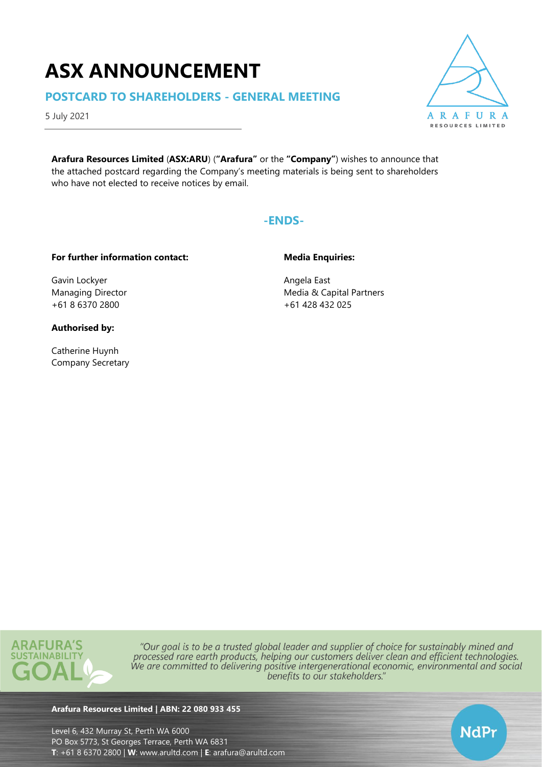# **ASX ANNOUNCEMENT**

# **POSTCARD TO SHAREHOLDERS - GENERAL MEETING**

5 July 2021

**Arafura Resources Limited** (**ASX:ARU**) (**"Arafura"** or the **"Company"**) wishes to announce that the attached postcard regarding the Company's meeting materials is being sent to shareholders who have not elected to receive notices by email.



## **For further information contact:**

Gavin Lockyer Managing Director +61 8 6370 2800

## **Authorised by:**

Catherine Huynh Company Secretary **Media Enquiries:**

Angela East Media & Capital Partners +61 428 432 025



"Our goal is to be a trusted global leader and supplier of choice for sustainably mined and processed rare earth products, helping our customers deliver clean and efficient technologies. We are committed to delivering positive intergenerational economic, environmental and social benefits to our stakeholders."

### **Arafura Resources Limited | ABN: 22 080 933 455**

Level 6, 432 Murray St, Perth WA 6000 PO Box 5773, St Georges Terrace, Perth WA 6831 **T**: +61 8 6370 2800 | **W**: [www.arultd.com](http://www.arultd.com/) | **E**: [arafura@arultd.com](mailto:arafura@arultd.com)



NdPr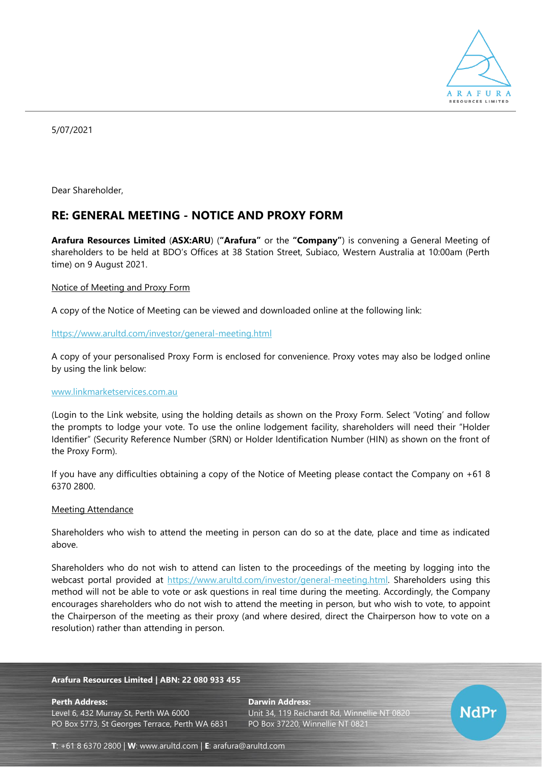

5/07/2021

Dear Shareholder,

# **RE: GENERAL MEETING - NOTICE AND PROXY FORM**

**Arafura Resources Limited** (**ASX:ARU**) (**"Arafura"** or the **"Company"**) is convening a General Meeting of shareholders to be held at BDO's Offices at 38 Station Street, Subiaco, Western Australia at 10:00am (Perth time) on 9 August 2021.

#### Notice of Meeting and Proxy Form

A copy of the Notice of Meeting can be viewed and downloaded online at the following link:

#### <https://www.arultd.com/investor/general-meeting.html>

A copy of your personalised Proxy Form is enclosed for convenience. Proxy votes may also be lodged online by using the link below:

#### [www.linkmarketservices.com.au](http://www.linkmarketservices.com.au/)

(Login to the Link website, using the holding details as shown on the Proxy Form. Select 'Voting' and follow the prompts to lodge your vote. To use the online lodgement facility, shareholders will need their "Holder Identifier" (Security Reference Number (SRN) or Holder Identification Number (HIN) as shown on the front of the Proxy Form).

If you have any difficulties obtaining a copy of the Notice of Meeting please contact the Company on +61 8 6370 2800.

#### Meeting Attendance

Shareholders who wish to attend the meeting in person can do so at the date, place and time as indicated above.

Shareholders who do not wish to attend can listen to the proceedings of the meeting by logging into the webcast portal provided at [https://www.arultd.com/investor/general-meeting.html.](https://www.arultd.com/investor/general-meeting.html) Shareholders using this method will not be able to vote or ask questions in real time during the meeting. Accordingly, the Company encourages shareholders who do not wish to attend the meeting in person, but who wish to vote, to appoint the Chairperson of the meeting as their proxy (and where desired, direct the Chairperson how to vote on a resolution) rather than attending in person.

#### **Arafura Resources Limited | ABN: 22 080 933 455**

**Perth Address: Darwin Address:** Level 6, 432 Murray St, Perth WA 6000 Unit 34, 119 Reichardt Rd, Winnellie NT 0820 PO Box 5773, St Georges Terrace, Perth WA 6831 PO Box 37220, Winnellie NT 0821



**T**: +61 8 6370 2800 | **W**: [www.arultd.com](http://www.arultd.com/) | **E**: [arafura@arultd.com](mailto:arafura@arultd.com)